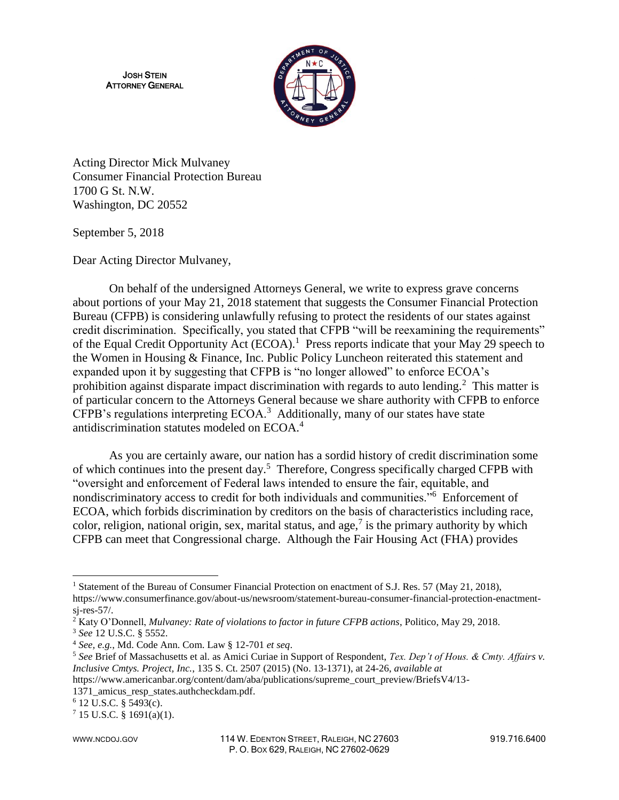JOSH STEIN ATTORNEY GENERAL



Acting Director Mick Mulvaney Consumer Financial Protection Bureau 1700 G St. N.W. Washington, DC 20552

September 5, 2018

Dear Acting Director Mulvaney,

On behalf of the undersigned Attorneys General, we write to express grave concerns about portions of your May 21, 2018 statement that suggests the Consumer Financial Protection Bureau (CFPB) is considering unlawfully refusing to protect the residents of our states against credit discrimination. Specifically, you stated that CFPB "will be reexamining the requirements" of the Equal Credit Opportunity Act (ECOA).<sup>1</sup> Press reports indicate that your May 29 speech to the Women in Housing & Finance, Inc. Public Policy Luncheon reiterated this statement and expanded upon it by suggesting that CFPB is "no longer allowed" to enforce ECOA's prohibition against disparate impact discrimination with regards to auto lending.<sup>2</sup> This matter is of particular concern to the Attorneys General because we share authority with CFPB to enforce CFPB's regulations interpreting  $ECOA$ <sup>3</sup> Additionally, many of our states have state antidiscrimination statutes modeled on ECOA.<sup>4</sup>

As you are certainly aware, our nation has a sordid history of credit discrimination some of which continues into the present day.<sup>5</sup> Therefore, Congress specifically charged CFPB with "oversight and enforcement of Federal laws intended to ensure the fair, equitable, and nondiscriminatory access to credit for both individuals and communities."<sup>6</sup> Enforcement of ECOA, which forbids discrimination by creditors on the basis of characteristics including race, color, religion, national origin, sex, marital status, and age,<sup>7</sup> is the primary authority by which CFPB can meet that Congressional charge. Although the Fair Housing Act (FHA) provides

l

<sup>&</sup>lt;sup>1</sup> Statement of the Bureau of Consumer Financial Protection on enactment of S.J. Res. 57 (May 21, 2018), https://www.consumerfinance.gov/about-us/newsroom/statement-bureau-consumer-financial-protection-enactment-

sj-res-57/.

<sup>2</sup> Katy O'Donnell, *Mulvaney: Rate of violations to factor in future CFPB actions*, Politico, May 29, 2018. <sup>3</sup> *See* 12 U.S.C. § 5552.

<sup>4</sup> *See, e.g.*, Md. Code Ann. Com. Law § 12-701 *et seq*.

<sup>5</sup> *See* Brief of Massachusetts et al. as Amici Curiae in Support of Respondent, *Tex. Dep't of Hous. & Cmty. Affairs v. Inclusive Cmtys. Project, Inc.*, 135 S. Ct. 2507 (2015) (No. 13-1371), at 24-26, *available at*

https://www.americanbar.org/content/dam/aba/publications/supreme\_court\_preview/BriefsV4/13-

<sup>1371</sup>\_amicus\_resp\_states.authcheckdam.pdf.

<sup>6</sup> 12 U.S.C. § 5493(c).

 $7$  15 U.S.C. § 1691(a)(1).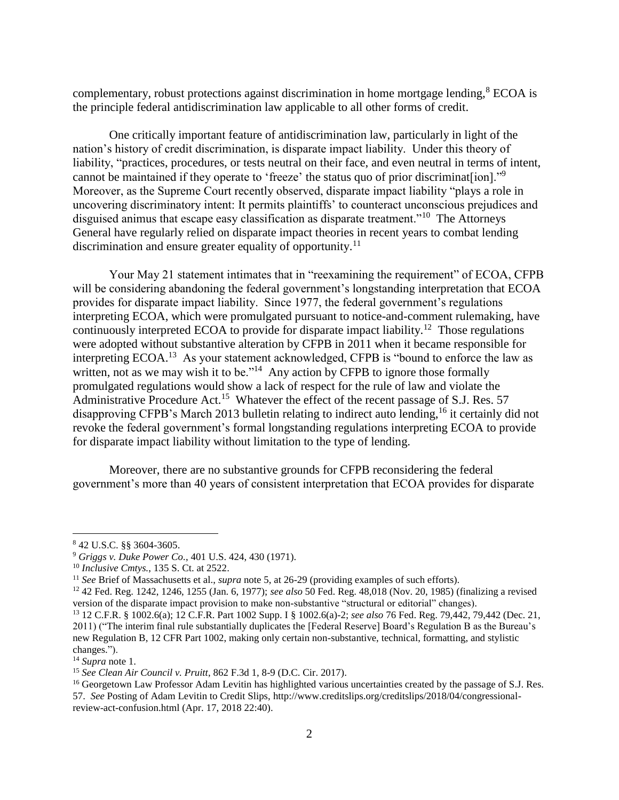complementary, robust protections against discrimination in home mortgage lending,<sup>8</sup> ECOA is the principle federal antidiscrimination law applicable to all other forms of credit.

One critically important feature of antidiscrimination law, particularly in light of the nation's history of credit discrimination, is disparate impact liability. Under this theory of liability, "practices, procedures, or tests neutral on their face, and even neutral in terms of intent, cannot be maintained if they operate to 'freeze' the status quo of prior discriminat[ion]."<sup>9</sup> Moreover, as the Supreme Court recently observed, disparate impact liability "plays a role in uncovering discriminatory intent: It permits plaintiffs' to counteract unconscious prejudices and disguised animus that escape easy classification as disparate treatment."<sup>10</sup> The Attorneys General have regularly relied on disparate impact theories in recent years to combat lending discrimination and ensure greater equality of opportunity.<sup>11</sup>

Your May 21 statement intimates that in "reexamining the requirement" of ECOA, CFPB will be considering abandoning the federal government's longstanding interpretation that ECOA provides for disparate impact liability. Since 1977, the federal government's regulations interpreting ECOA, which were promulgated pursuant to notice-and-comment rulemaking, have continuously interpreted ECOA to provide for disparate impact liability.<sup>12</sup> Those regulations were adopted without substantive alteration by CFPB in 2011 when it became responsible for interpreting ECOA.<sup>13</sup> As your statement acknowledged, CFPB is "bound to enforce the law as written, not as we may wish it to be."<sup>14</sup> Any action by CFPB to ignore those formally promulgated regulations would show a lack of respect for the rule of law and violate the Administrative Procedure Act.<sup>15</sup> Whatever the effect of the recent passage of S.J. Res. 57 disapproving CFPB's March 2013 bulletin relating to indirect auto lending,<sup>16</sup> it certainly did not revoke the federal government's formal longstanding regulations interpreting ECOA to provide for disparate impact liability without limitation to the type of lending.

Moreover, there are no substantive grounds for CFPB reconsidering the federal government's more than 40 years of consistent interpretation that ECOA provides for disparate

 $\overline{\phantom{a}}$ 

<sup>8</sup> 42 U.S.C. §§ 3604-3605.

<sup>9</sup> *Griggs v. Duke Power Co.*, 401 U.S. 424, 430 (1971).

<sup>10</sup> *Inclusive Cmtys.*, 135 S. Ct. at 2522.

<sup>11</sup> *See* Brief of Massachusetts et al., *supra* note 5, at 26-29 (providing examples of such efforts).

<sup>12</sup> 42 Fed. Reg. 1242, 1246, 1255 (Jan. 6, 1977); *see also* 50 Fed. Reg. 48,018 (Nov. 20, 1985) (finalizing a revised version of the disparate impact provision to make non-substantive "structural or editorial" changes).

<sup>13</sup> 12 C.F.R. § 1002.6(a); 12 C.F.R. Part 1002 Supp. I § 1002.6(a)-2; *see also* 76 Fed. Reg. 79,442, 79,442 (Dec. 21, 2011) ("The interim final rule substantially duplicates the [Federal Reserve] Board's Regulation B as the Bureau's new Regulation B, 12 CFR Part 1002, making only certain non-substantive, technical, formatting, and stylistic changes.").

<sup>14</sup> *Supra* note 1.

<sup>15</sup> *See Clean Air Council v. Pruitt*, 862 F.3d 1, 8-9 (D.C. Cir. 2017).

<sup>&</sup>lt;sup>16</sup> Georgetown Law Professor Adam Levitin has highlighted various uncertainties created by the passage of S.J. Res. 57. *See* Posting of Adam Levitin to Credit Slips, http://www.creditslips.org/creditslips/2018/04/congressionalreview-act-confusion.html (Apr. 17, 2018 22:40).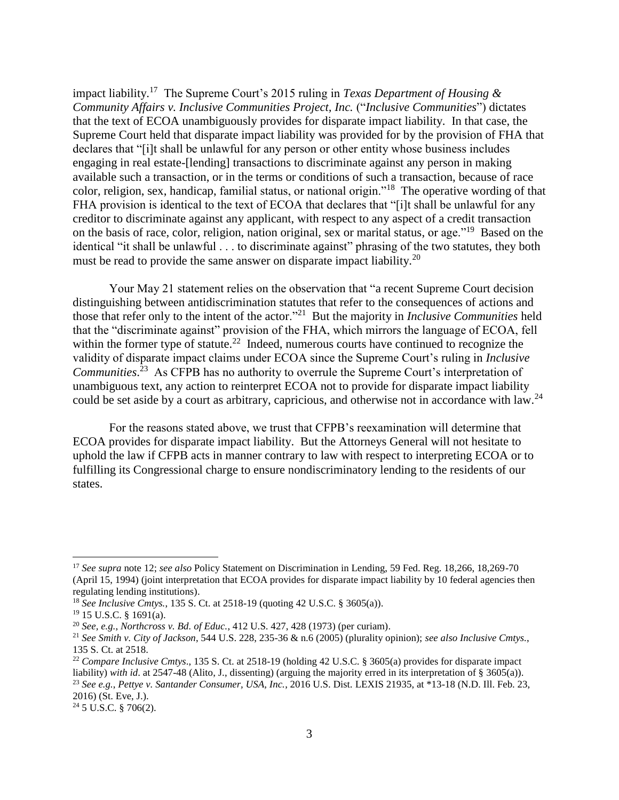impact liability.<sup>17</sup> The Supreme Court's 2015 ruling in *Texas Department of Housing & Community Affairs v. Inclusive Communities Project, Inc.* ("*Inclusive Communities*") dictates that the text of ECOA unambiguously provides for disparate impact liability. In that case, the Supreme Court held that disparate impact liability was provided for by the provision of FHA that declares that "[i]t shall be unlawful for any person or other entity whose business includes engaging in real estate-[lending] transactions to discriminate against any person in making available such a transaction, or in the terms or conditions of such a transaction, because of race color, religion, sex, handicap, familial status, or national origin."<sup>18</sup> The operative wording of that FHA provision is identical to the text of ECOA that declares that "[i]t shall be unlawful for any creditor to discriminate against any applicant, with respect to any aspect of a credit transaction on the basis of race, color, religion, nation original, sex or marital status, or age."<sup>19</sup> Based on the identical "it shall be unlawful . . . to discriminate against" phrasing of the two statutes, they both must be read to provide the same answer on disparate impact liability.<sup>20</sup>

Your May 21 statement relies on the observation that "a recent Supreme Court decision distinguishing between antidiscrimination statutes that refer to the consequences of actions and those that refer only to the intent of the actor."<sup>21</sup> But the majority in *Inclusive Communities* held that the "discriminate against" provision of the FHA, which mirrors the language of ECOA, fell within the former type of statute.<sup>22</sup> Indeed, numerous courts have continued to recognize the validity of disparate impact claims under ECOA since the Supreme Court's ruling in *Inclusive*  Communities.<sup>23</sup> As CFPB has no authority to overrule the Supreme Court's interpretation of unambiguous text, any action to reinterpret ECOA not to provide for disparate impact liability could be set aside by a court as arbitrary, capricious, and otherwise not in accordance with law.<sup>24</sup>

For the reasons stated above, we trust that CFPB's reexamination will determine that ECOA provides for disparate impact liability. But the Attorneys General will not hesitate to uphold the law if CFPB acts in manner contrary to law with respect to interpreting ECOA or to fulfilling its Congressional charge to ensure nondiscriminatory lending to the residents of our states.

l

<sup>17</sup> *See supra* note 12; *see also* Policy Statement on Discrimination in Lending, 59 Fed. Reg. 18,266, 18,269-70 (April 15, 1994) (joint interpretation that ECOA provides for disparate impact liability by 10 federal agencies then regulating lending institutions).

<sup>18</sup> *See Inclusive Cmtys.*, 135 S. Ct. at 2518-19 (quoting 42 U.S.C. § 3605(a)).

<sup>19</sup> 15 U.S.C. § 1691(a).

<sup>20</sup> *See, e.g.*, *Northcross v. Bd. of Educ.*, 412 U.S. 427, 428 (1973) (per curiam).

<sup>21</sup> *See Smith v. City of Jackson*, 544 U.S. 228, 235-36 & n.6 (2005) (plurality opinion); *see also Inclusive Cmtys.*, 135 S. Ct. at 2518.

<sup>&</sup>lt;sup>22</sup> *Compare Inclusive Cmtys.*, 135 S. Ct. at 2518-19 (holding 42 U.S.C. § 3605(a) provides for disparate impact liability) *with id*. at 2547-48 (Alito, J., dissenting) (arguing the majority erred in its interpretation of § 3605(a)). <sup>23</sup> *See e.g.*, *Pettye v. Santander Consumer, USA, Inc.*, 2016 U.S. Dist. LEXIS 21935, at \*13-18 (N.D. Ill. Feb. 23, 2016) (St. Eve, J.).

<sup>24</sup> 5 U.S.C. § 706(2).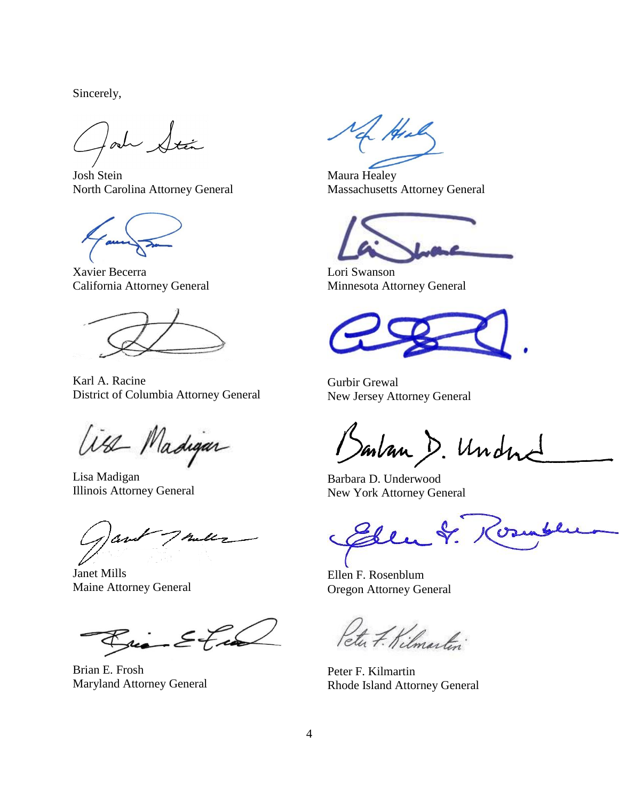Sincerely,

oh Stá

Josh Stein North Carolina Attorney General

Xavier Becerra California Attorney General

Karl A. Racine District of Columbia Attorney General

With Madigan

Lisa Madigan Illinois Attorney General

Janet Mills Maine Attorney General

Rui Etu

Brian E. Frosh Maryland Attorney General

He

Maura Healey Massachusetts Attorney General

Lori Swanson Minnesota Attorney General

Gurbir Grewal New Jersey Attorney General

Bartan D. Undne

Barbara D. Underwood New York Attorney General

Elen cres

Ellen F. Rosenblum Oregon Attorney General

Peter F. Kilmartin

Peter F. Kilmartin Rhode Island Attorney General